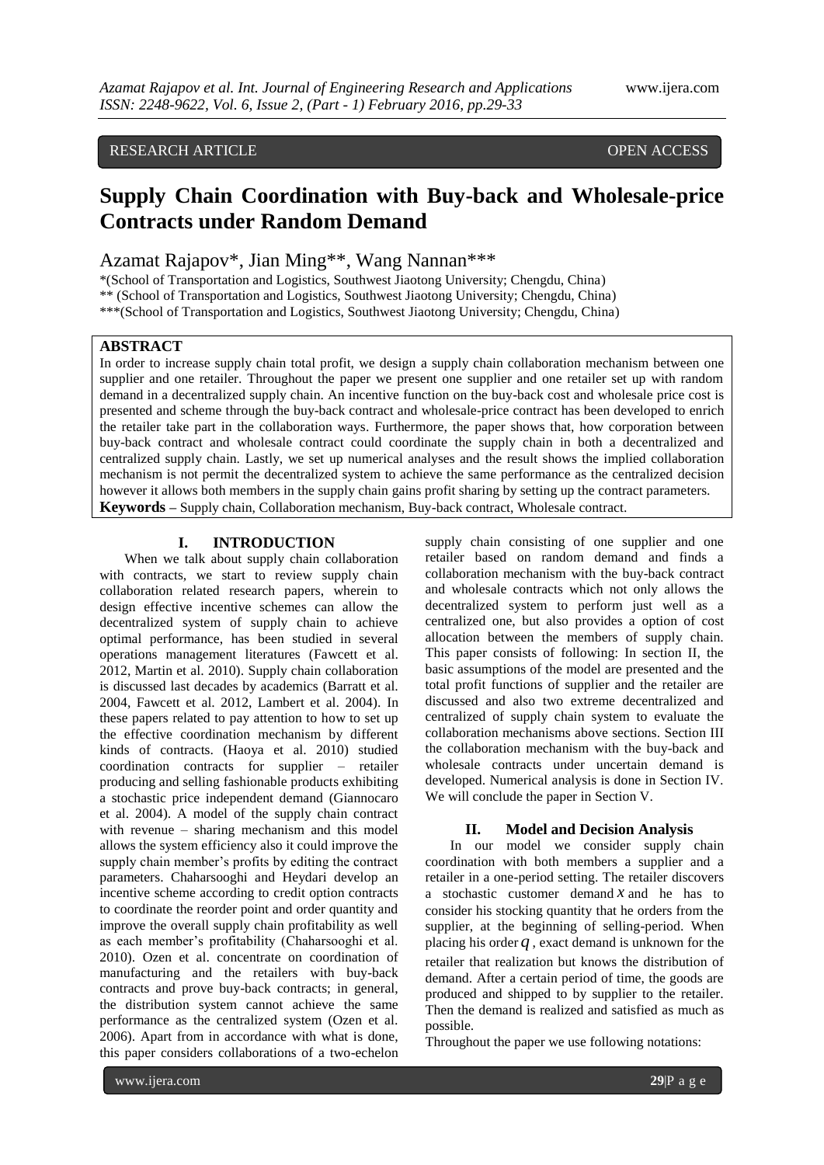## RESEARCH ARTICLE **CONSERVERS** OPEN ACCESS

# **Supply Chain Coordination with Buy-back and Wholesale-price Contracts under Random Demand**

Azamat Rajapov\*, Jian Ming\*\*, Wang Nannan\*\*\*

\*(School of Transportation and Logistics, Southwest Jiaotong University; Chengdu, China)

\*\* (School of Transportation and Logistics, Southwest Jiaotong University; Chengdu, China)

\*\*\*(School of Transportation and Logistics, Southwest Jiaotong University; Chengdu, China)

## **ABSTRACT**

In order to increase supply chain total profit, we design a supply chain collaboration mechanism between one supplier and one retailer. Throughout the paper we present one supplier and one retailer set up with random demand in a decentralized supply chain. An incentive function on the buy-back cost and wholesale price cost is presented and scheme through the buy-back contract and wholesale-price contract has been developed to enrich the retailer take part in the collaboration ways. Furthermore, the paper shows that, how corporation between buy-back contract and wholesale contract could coordinate the supply chain in both a decentralized and centralized supply chain. Lastly, we set up numerical analyses and the result shows the implied collaboration mechanism is not permit the decentralized system to achieve the same performance as the centralized decision however it allows both members in the supply chain gains profit sharing by setting up the contract parameters. **Keywords –** Supply chain, Collaboration mechanism, Buy-back contract, Wholesale contract.

## **I. INTRODUCTION**

When we talk about supply chain collaboration with contracts, we start to review supply chain collaboration related research papers, wherein to design effective incentive schemes can allow the decentralized system of supply chain to achieve optimal performance, has been studied in several operations management literatures (Fawcett et al. 2012, Martin et al. 2010). Supply chain collaboration is discussed last decades by academics (Barratt et al. 2004, Fawcett et al. 2012, Lambert et al. 2004). In these papers related to pay attention to how to set up the effective coordination mechanism by different kinds of contracts. (Haoya et al. 2010) studied coordination contracts for supplier – retailer producing and selling fashionable products exhibiting a stochastic price independent demand (Giannocaro et al. 2004). A model of the supply chain contract with revenue – sharing mechanism and this model allows the system efficiency also it could improve the supply chain member's profits by editing the contract parameters. Chaharsooghi and Heydari develop an incentive scheme according to credit option contracts to coordinate the reorder point and order quantity and improve the overall supply chain profitability as well as each member's profitability (Chaharsooghi et al. 2010). Ozen et al. concentrate on coordination of manufacturing and the retailers with buy-back contracts and prove buy-back contracts; in general, the distribution system cannot achieve the same performance as the centralized system (Ozen et al. 2006). Apart from in accordance with what is done, this paper considers collaborations of a two-echelon

supply chain consisting of one supplier and one retailer based on random demand and finds a collaboration mechanism with the buy-back contract and wholesale contracts which not only allows the decentralized system to perform just well as a centralized one, but also provides a option of cost allocation between the members of supply chain. This paper consists of following: In section II, the basic assumptions of the model are presented and the total profit functions of supplier and the retailer are discussed and also two extreme decentralized and centralized of supply chain system to evaluate the collaboration mechanisms above sections. Section III the collaboration mechanism with the buy-back and wholesale contracts under uncertain demand is developed. Numerical analysis is done in Section IV. We will conclude the paper in Section V.

### **II. Model and Decision Analysis**

In our model we consider supply chain coordination with both members a supplier and a retailer in a one-period setting. The retailer discovers a stochastic customer demand  $x$  and he has to consider his stocking quantity that he orders from the supplier, at the beginning of selling-period. When placing his order  $q$ , exact demand is unknown for the retailer that realization but knows the distribution of demand. After a certain period of time, the goods are produced and shipped to by supplier to the retailer. Then the demand is realized and satisfied as much as possible.

Throughout the paper we use following notations: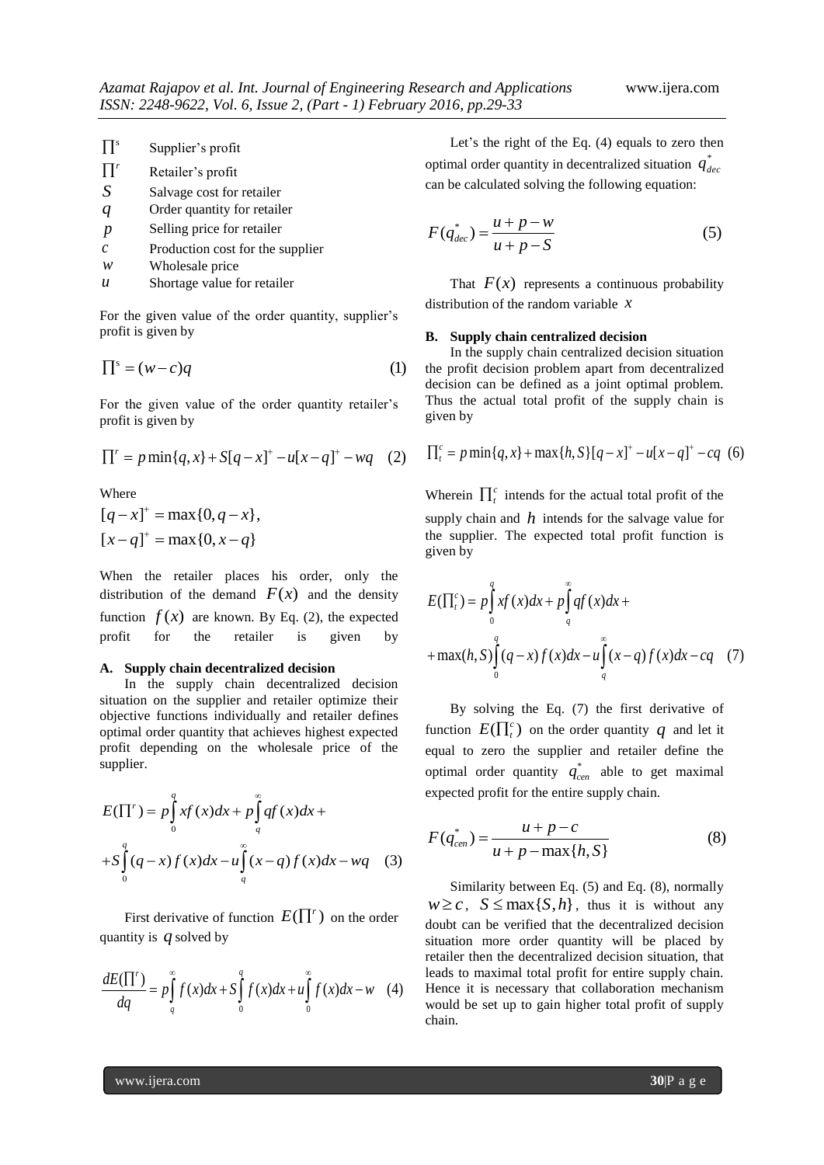| $\prod$ <sup>s</sup> | Supplier's profit |  |
|----------------------|-------------------|--|
|----------------------|-------------------|--|

| $\prod^r$ | Retailer's profit                              |  |  |
|-----------|------------------------------------------------|--|--|
| S         | Salvage cost for retailer                      |  |  |
|           | $\sim$ $\sim$<br>$\sim$ 1 $\sim$ $\sim$ $\sim$ |  |  |

- *q* Order quantity for retailer
- *p* Selling price for retailer
- *c* Production cost for the supplier
- *w* Wholesale price
- *u* Shortage value for retailer

For the given value of the order quantity, supplier's profit is given by

$$
\Pi^s = (w - c)q
$$
 (1)

For the given value of the order quantity retailer's profit is given by

$$
\Pi' = p \min\{q, x\} + S[q - x]^+ - u[x - q]^+ - wq \quad (2)
$$

Where

$$
[q-x]^{+} = \max\{0, q-x\},
$$
  

$$
[x-q]^{+} = \max\{0, x-q\}
$$

When the retailer places his order, only the distribution of the demand  $F(x)$  and the density function  $f(x)$  are known. By Eq. (2), the expected profit for the retailer is given by

#### **A. Supply chain decentralized decision**

In the supply chain decentralized decision situation on the supplier and retailer optimize their objective functions individually and retailer defines optimal order quantity that achieves highest expected profit depending on the wholesale price of the supplier.

supplier.

\n
$$
E(\Pi') = p \int_{0}^{q} xf(x) dx + p \int_{q}^{\infty} q f(x) dx +
$$
\n
$$
+ S \int_{0}^{q} (q-x) f(x) dx - u \int_{q}^{\infty} (x-q) f(x) dx - wq \quad (3)
$$

First derivative of function  $E(\prod^r)$  on the order quantity is *q* solved by

equantly is *q* solved by  
\n
$$
\frac{dE(\Pi')}{dq} = p \int_{q}^{\infty} f(x) dx + S \int_{0}^{q} f(x) dx + u \int_{0}^{\infty} f(x) dx - w \quad (4)
$$

Let's the right of the Eq. (4) equals to zero then optimal order quantity in decentralized situation  $q_{\text{dec}}^*$ can be calculated solving the following equation:

$$
F(q_{dec}^*) = \frac{u + p - w}{u + p - S}
$$
 (5)

That  $F(x)$  represents a continuous probability distribution of the random variable *x*

#### **B. Supply chain centralized decision**

In the supply chain centralized decision situation the profit decision problem apart from decentralized decision can be defined as a joint optimal problem. Thus the actual total profit of the supply chain is given by

given by  
\n
$$
\prod_{i=1}^{c} p \min\{q, x\} + \max\{h, S\} [q - x]^{+} - u[x - q]^{+} - cq
$$
 (6)

Wherein  $\prod_t^c$  intends for the actual total profit of the supply chain and  $h$  intends for the salvage value for the supplier. The expected total profit function is given by

given by  
\n
$$
E(\Pi_t^c) = p \int_0^q xf(x) dx + p \int_q^{\infty} qf(x) dx +
$$
\n
$$
+ \max(h, S) \int_0^q (q - x) f(x) dx - u \int_q^{\infty} (x - q) f(x) dx - cq \quad (7)
$$

By solving the Eq. (7) the first derivative of function  $E(\prod_t^c)$  on the order quantity q and let it equal to zero the supplier and retailer define the optimal order quantity  $q_{cen}^*$  able to get maximal

expected profit for the entire supply chain.  
\n
$$
F(q_{cen}^{*}) = \frac{u + p - c}{u + p - \max\{h, S\}}
$$
\n(8)

Similarity between Eq. (5) and Eq. (8), normally  $w \geq c$ ,  $S \leq \max\{S, h\}$ , thus it is without any doubt can be verified that the decentralized decision situation more order quantity will be placed by retailer then the decentralized decision situation, that leads to maximal total profit for entire supply chain. Hence it is necessary that collaboration mechanism would be set up to gain higher total profit of supply chain.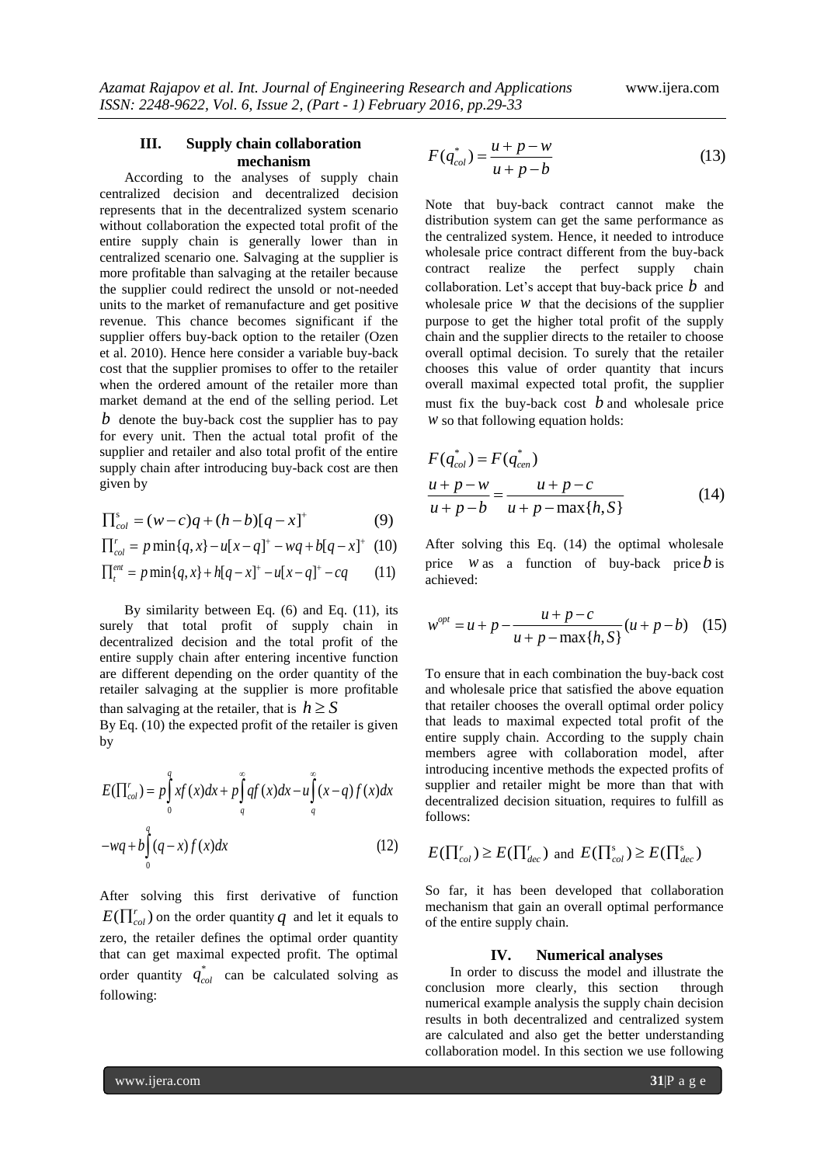## **III. Supply chain collaboration mechanism**

According to the analyses of supply chain centralized decision and decentralized decision represents that in the decentralized system scenario without collaboration the expected total profit of the entire supply chain is generally lower than in centralized scenario one. Salvaging at the supplier is more profitable than salvaging at the retailer because the supplier could redirect the unsold or not-needed units to the market of remanufacture and get positive revenue. This chance becomes significant if the supplier offers buy-back option to the retailer (Ozen et al. 2010). Hence here consider a variable buy-back cost that the supplier promises to offer to the retailer when the ordered amount of the retailer more than market demand at the end of the selling period. Let *b* denote the buy-back cost the supplier has to pay for every unit. Then the actual total profit of the supplier and retailer and also total profit of the entire supply chain after introducing buy-back cost are then given by

$$
\Pi_{col}^{s} = (w - c)q + (h - b)[q - x]^{+}
$$
 (9)

$$
\Pi_{col}^{s} = (w - c)q + (h - b)[q - x]^{+}
$$
(9)  

$$
\Pi_{col}^{r} = p \min\{q, x\} - u[x - q]^{+} - wq + b[q - x]^{+}
$$
(10)  

$$
\Pi_{t}^{em} = p \min\{q, x\} + h[q - x]^{+} - u[x - q]^{+} - cq
$$
(11)

$$
\prod_{t=1}^{e^{m}} p \min\{q, x\} + h[q - x]^{+} - u[x - q]^{+} - cq \qquad (11)
$$

By similarity between Eq. (6) and Eq. (11), its surely that total profit of supply chain in decentralized decision and the total profit of the entire supply chain after entering incentive function are different depending on the order quantity of the retailer salvaging at the supplier is more profitable than salvaging at the retailer, that is  $h \geq S$ 

By Eq. (10) the expected profit of the retailer is given by

by  
\n
$$
E(\Pi_{col}^r) = p \int_0^q xf(x)dx + p \int_q^\infty qf(x)dx - u \int_q^\infty (x - q) f(x)dx
$$
\n
$$
-wq + b \int_0^q (q - x) f(x)dx \qquad (12)
$$

After solving this first derivative of function  $E(\prod_{col}^{r})$  on the order quantity  $q$  and let it equals to zero, the retailer defines the optimal order quantity that can get maximal expected profit. The optimal order quantity  $q_{col}^*$  can be calculated solving as following:

$$
F(q_{col}^{*}) = \frac{u + p - w}{u + p - b}
$$
 (13)

Note that buy-back contract cannot make the distribution system can get the same performance as the centralized system. Hence, it needed to introduce wholesale price contract different from the buy-back contract realize the perfect supply chain collaboration. Let's accept that buy-back price *b* and wholesale price  $w$  that the decisions of the supplier purpose to get the higher total profit of the supply chain and the supplier directs to the retailer to choose overall optimal decision. To surely that the retailer chooses this value of order quantity that incurs overall maximal expected total profit, the supplier must fix the buy-back cost  $b$  and wholesale price *w* so that following equation holds:

$$
F(q_{col}^{*}) = F(q_{cen}^{*})
$$
  
\n
$$
\frac{u + p - w}{u + p - b} = \frac{u + p - c}{u + p - \max\{h, S\}}
$$
 (14)

After solving this Eq. (14) the optimal wholesale price *w* as a function of buy-back price *b* is achieved:

achieved:  
\n
$$
w^{opt} = u + p - \frac{u + p - c}{u + p - \max\{h, S\}} (u + p - b) \quad (15)
$$

To ensure that in each combination the buy-back cost and wholesale price that satisfied the above equation that retailer chooses the overall optimal order policy that leads to maximal expected total profit of the entire supply chain. According to the supply chain members agree with collaboration model, after introducing incentive methods the expected profits of supplier and retailer might be more than that with decentralized decision situation, requires to fulfill as follows:

$$
E(\prod_{col}^{r}) \ge E(\prod_{dec}^{r})
$$
 and  $E(\prod_{col}^{s}) \ge E(\prod_{dec}^{s})$ 

So far, it has been developed that collaboration mechanism that gain an overall optimal performance of the entire supply chain.

#### **IV. Numerical analyses**

In order to discuss the model and illustrate the conclusion more clearly, this section through numerical example analysis the supply chain decision results in both decentralized and centralized system are calculated and also get the better understanding collaboration model. In this section we use following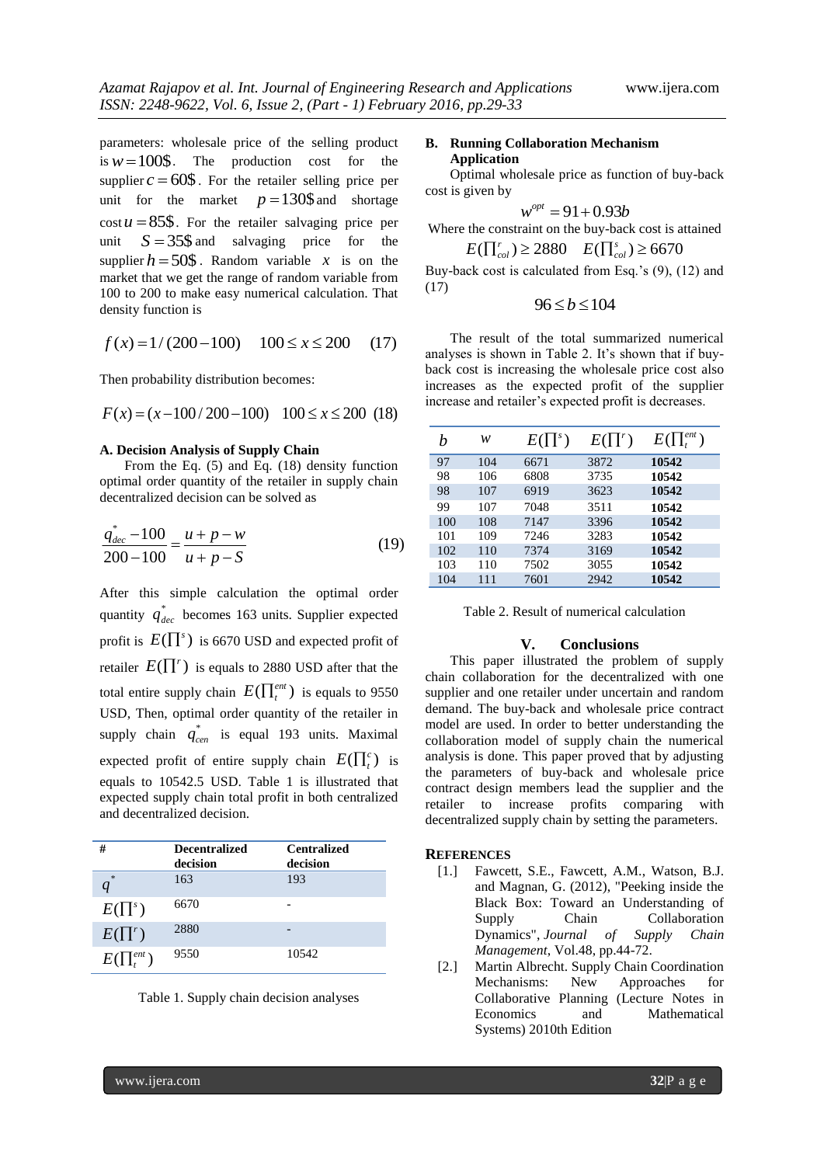parameters: wholesale price of the selling product is  $w = 100\$ . The production cost for the supplier  $c = 60\$ . For the retailer selling price per unit for the market  $p = 130\$ \$ and shortage  $\cos t u = 85\$ . For the retailer salvaging price per unit  $S = 35\$ \$ and salvaging price for the supplier  $h = 50\$ . Random variable x is on the market that we get the range of random variable from 100 to 200 to make easy numerical calculation. That density function is

density function is  

$$
f(x) = 1/(200-100)
$$
  $100 \le x \le 200$  (17)

Then probability distribution becomes:  

$$
F(x) = (x - 100/200 - 100) \quad 100 \le x \le 200 \text{ (18)}
$$

#### **A. Decision Analysis of Supply Chain**

From the Eq. (5) and Eq. (18) density function optimal order quantity of the retailer in supply chain decentralized decision can be solved as

$$
\frac{q_{dec}^{*} - 100}{200 - 100} = \frac{u + p - w}{u + p - S}
$$
(19)

After this simple calculation the optimal order quantity  $q_{dec}^*$  becomes 163 units. Supplier expected profit is  $E(\prod^s)$  is 6670 USD and expected profit of retailer  $E(\prod^r)$  is equals to 2880 USD after that the total entire supply chain  $E(\prod_{t}^{ent})$  is equals to 9550 USD, Then, optimal order quantity of the retailer in supply chain  $q_{cen}^*$  is equal 193 units. Maximal expected profit of entire supply chain  $E(\prod_t^c)$  is equals to 10542.5 USD. Table 1 is illustrated that expected supply chain total profit in both centralized and decentralized decision.

| #                    | <b>Decentralized</b><br>decision | <b>Centralized</b><br>decision |
|----------------------|----------------------------------|--------------------------------|
| *                    | 163                              | 193                            |
| $E(\prod^s)$         | 6670                             |                                |
| $E(\prod^r)$         | 2880                             |                                |
| $E(\prod_{i}^{ent})$ | 9550                             | 10542                          |



#### **B. Running Collaboration Mechanism Application**

Optimal wholesale price as function of buy-back cost is given by

$$
w^{opt}=91+0.93b
$$

Where the constraint on the buy-back cost is attained  $E(\prod_{col}^{r}) \ge 2880$   $E(\prod_{col}^{s}) \ge 6670$ 

Buy-back cost is calculated from Esq.'s 
$$
(9)
$$
,  $(12)$  and  $(17)$ 

$$
96 \le b \le 104
$$

The result of the total summarized numerical analyses is shown in Table 2. It's shown that if buyback cost is increasing the wholesale price cost also increases as the expected profit of the supplier increase and retailer's expected profit is decreases.

|     | w   | $E(\prod^s)$ | $E(\prod^r)$ | $E(\prod_t^{ent})$ |
|-----|-----|--------------|--------------|--------------------|
| 97  | 104 | 6671         | 3872         | 10542              |
| 98  | 106 | 6808         | 3735         | 10542              |
| 98  | 107 | 6919         | 3623         | 10542              |
| 99  | 107 | 7048         | 3511         | 10542              |
| 100 | 108 | 7147         | 3396         | 10542              |
| 101 | 109 | 7246         | 3283         | 10542              |
| 102 | 110 | 7374         | 3169         | 10542              |
| 103 | 110 | 7502         | 3055         | 10542              |
| 104 | 111 | 7601         | 2942         | 10542              |

Table 2. Result of numerical calculation

#### **V. Conclusions**

This paper illustrated the problem of supply chain collaboration for the decentralized with one supplier and one retailer under uncertain and random demand. The buy-back and wholesale price contract model are used. In order to better understanding the collaboration model of supply chain the numerical analysis is done. This paper proved that by adjusting the parameters of buy-back and wholesale price contract design members lead the supplier and the retailer to increase profits comparing with decentralized supply chain by setting the parameters.

#### **REFERENCES**

- [1.] Fawcett, S.E., Fawcett, A.M., Watson, B.J. and Magnan, G. (2012), "Peeking inside the Black Box: Toward an Understanding of Supply Chain Collaboration Dynamics", *Journal of Supply Chain Management*, Vol.48, pp.44-72.
- [2.] [Martin Albrecht.](http://www.amazon.com/Martin-Albrecht/e/B0034Q1SDK/ref=dp_byline_cont_book_1) Supply Chain Coordination Mechanisms: New Approaches for Collaborative Planning (Lecture Notes in Economics and Mathematical Systems) 2010th Edition